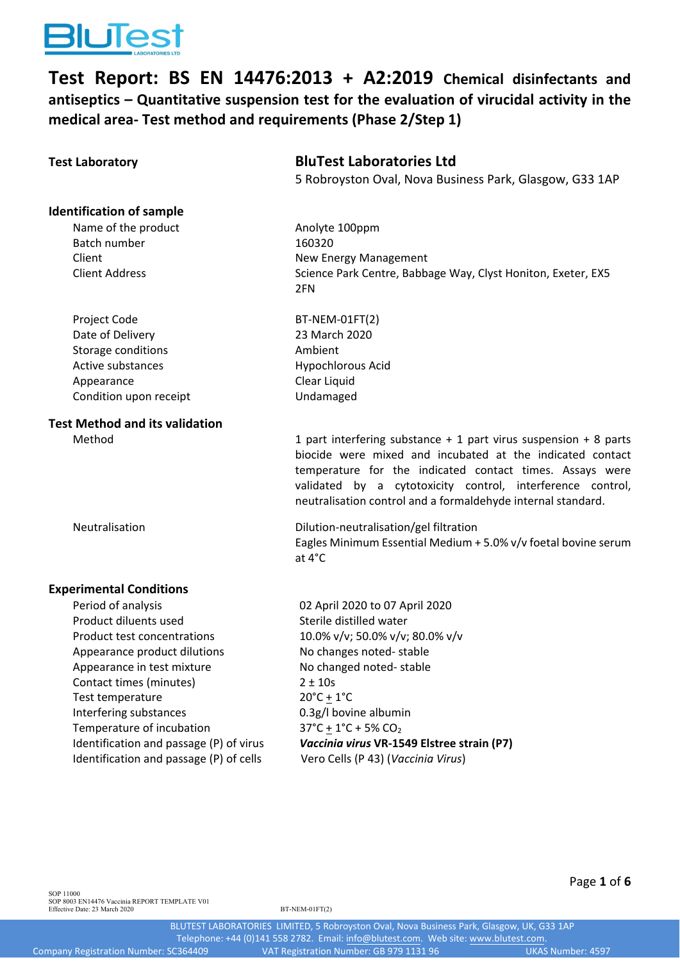

**Test Report: BS EN 14476:2013 + A2:2019 Chemical disinfectants and antiseptics – Quantitative suspension test for the evaluation of virucidal activity in the medical area‐ Test method and requirements (Phase 2/Step 1)**

| <b>Test Laboratory</b>                  | <b>BluTest Laboratories Ltd</b>                                                                                                                                                                                                                                                                                         |  |  |  |  |  |
|-----------------------------------------|-------------------------------------------------------------------------------------------------------------------------------------------------------------------------------------------------------------------------------------------------------------------------------------------------------------------------|--|--|--|--|--|
|                                         | 5 Robroyston Oval, Nova Business Park, Glasgow, G33 1AP                                                                                                                                                                                                                                                                 |  |  |  |  |  |
| <b>Identification of sample</b>         |                                                                                                                                                                                                                                                                                                                         |  |  |  |  |  |
| Name of the product                     | Anolyte 100ppm                                                                                                                                                                                                                                                                                                          |  |  |  |  |  |
| <b>Batch number</b>                     | 160320                                                                                                                                                                                                                                                                                                                  |  |  |  |  |  |
| Client                                  | New Energy Management                                                                                                                                                                                                                                                                                                   |  |  |  |  |  |
| <b>Client Address</b>                   | Science Park Centre, Babbage Way, Clyst Honiton, Exeter, EX5                                                                                                                                                                                                                                                            |  |  |  |  |  |
|                                         | 2FN                                                                                                                                                                                                                                                                                                                     |  |  |  |  |  |
| Project Code                            | BT-NEM-01FT(2)                                                                                                                                                                                                                                                                                                          |  |  |  |  |  |
| Date of Delivery                        | 23 March 2020                                                                                                                                                                                                                                                                                                           |  |  |  |  |  |
| Storage conditions                      | Ambient                                                                                                                                                                                                                                                                                                                 |  |  |  |  |  |
| Active substances                       | <b>Hypochlorous Acid</b>                                                                                                                                                                                                                                                                                                |  |  |  |  |  |
| Appearance                              | Clear Liquid                                                                                                                                                                                                                                                                                                            |  |  |  |  |  |
| Condition upon receipt                  | Undamaged                                                                                                                                                                                                                                                                                                               |  |  |  |  |  |
| <b>Test Method and its validation</b>   |                                                                                                                                                                                                                                                                                                                         |  |  |  |  |  |
| Method                                  | 1 part interfering substance + 1 part virus suspension + 8 parts<br>biocide were mixed and incubated at the indicated contact<br>temperature for the indicated contact times. Assays were<br>validated by a cytotoxicity control, interference control,<br>neutralisation control and a formaldehyde internal standard. |  |  |  |  |  |
| Neutralisation                          | Dilution-neutralisation/gel filtration<br>Eagles Minimum Essential Medium + 5.0% v/v foetal bovine serum<br>at 4°C                                                                                                                                                                                                      |  |  |  |  |  |
| <b>Experimental Conditions</b>          |                                                                                                                                                                                                                                                                                                                         |  |  |  |  |  |
| Period of analysis                      | 02 April 2020 to 07 April 2020                                                                                                                                                                                                                                                                                          |  |  |  |  |  |
| Product diluents used                   | Sterile distilled water                                                                                                                                                                                                                                                                                                 |  |  |  |  |  |
| <b>Product test concentrations</b>      | 10.0% v/v; 50.0% v/v; 80.0% v/v                                                                                                                                                                                                                                                                                         |  |  |  |  |  |
| Appearance product dilutions            | No changes noted-stable                                                                                                                                                                                                                                                                                                 |  |  |  |  |  |
| Appearance in test mixture              | No changed noted-stable                                                                                                                                                                                                                                                                                                 |  |  |  |  |  |
| Contact times (minutes)                 | $2 + 10s$                                                                                                                                                                                                                                                                                                               |  |  |  |  |  |
| Test temperature                        | $20^{\circ}C + 1^{\circ}C$                                                                                                                                                                                                                                                                                              |  |  |  |  |  |
| Interfering substances                  | 0.3g/l bovine albumin                                                                                                                                                                                                                                                                                                   |  |  |  |  |  |
| Temperature of incubation               | $37^{\circ}$ C + 1 $^{\circ}$ C + 5% CO <sub>2</sub>                                                                                                                                                                                                                                                                    |  |  |  |  |  |
| Identification and passage (P) of virus | Vaccinia virus VR-1549 Elstree strain (P7)                                                                                                                                                                                                                                                                              |  |  |  |  |  |

SOP 11000 SOP 8003 EN14476 Vaccinia REPORT TEMPLATE V01 Effective Date: 23 March 2020

Identification and passage (P) of cells Vero Cells (P 43) (*Vaccinia Virus*)

Page **1** of **6**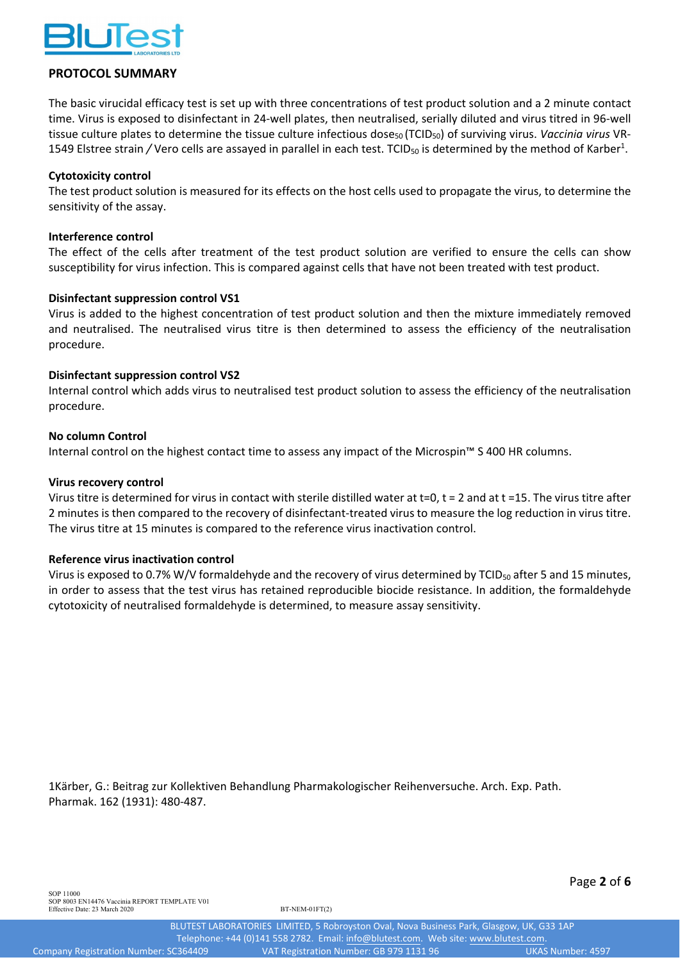

## **PROTOCOL SUMMARY**

The basic virucidal efficacy test is set up with three concentrations of test product solution and a 2 minute contact time. Virus is exposed to disinfectant in 24‐well plates, then neutralised, serially diluted and virus titred in 96‐well tissue culture plates to determine the tissue culture infectious dose<sub>50</sub> (TCID<sub>50</sub>) of surviving virus. *Vaccinia virus* VR-1549 Elstree strain / Vero cells are assayed in parallel in each test. TCID<sub>50</sub> is determined by the method of Karber<sup>1</sup>.

### **Cytotoxicity control**

The test product solution is measured for its effects on the host cells used to propagate the virus, to determine the sensitivity of the assay.

## **Interference control**

The effect of the cells after treatment of the test product solution are verified to ensure the cells can show susceptibility for virus infection. This is compared against cells that have not been treated with test product.

## **Disinfectant suppression control VS1**

Virus is added to the highest concentration of test product solution and then the mixture immediately removed and neutralised. The neutralised virus titre is then determined to assess the efficiency of the neutralisation procedure.

## **Disinfectant suppression control VS2**

Internal control which adds virus to neutralised test product solution to assess the efficiency of the neutralisation procedure.

#### **No column Control**

Internal control on the highest contact time to assess any impact of the Microspin™ S 400 HR columns.

#### **Virus recovery control**

Virus titre is determined for virus in contact with sterile distilled water at  $t=0$ ,  $t = 2$  and at  $t = 15$ . The virus titre after 2 minutes is then compared to the recovery of disinfectant-treated virus to measure the log reduction in virus titre. The virus titre at 15 minutes is compared to the reference virus inactivation control.

#### **Reference virus inactivation control**

Virus is exposed to 0.7% W/V formaldehyde and the recovery of virus determined by TCID<sub>50</sub> after 5 and 15 minutes, in order to assess that the test virus has retained reproducible biocide resistance. In addition, the formaldehyde cytotoxicity of neutralised formaldehyde is determined, to measure assay sensitivity.

1Kärber, G.: Beitrag zur Kollektiven Behandlung Pharmakologischer Reihenversuche. Arch. Exp. Path. Pharmak. 162 (1931): 480‐487.

Page **2** of **6**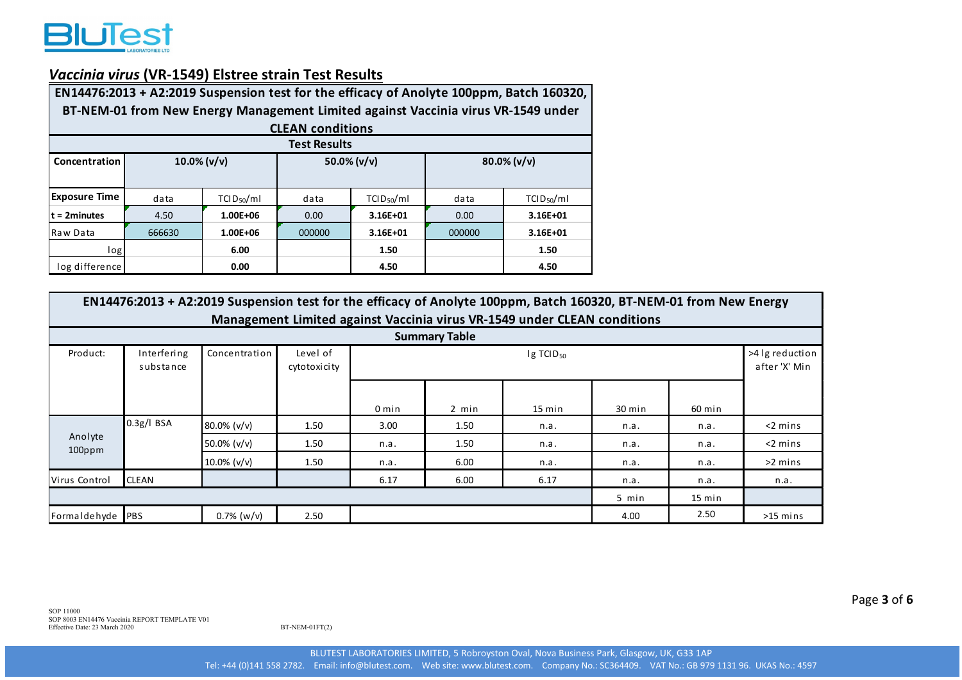

## *Vaccinia virus* **(VR‐1549) Elstree strain Test Results**

| EN14476:2013 + A2:2019 Suspension test for the efficacy of Anolyte 100ppm, Batch 160320,<br>BT-NEM-01 from New Energy Management Limited against Vaccinia virus VR-1549 under |             |                        |        |                        |                |                        |  |  |  |
|-------------------------------------------------------------------------------------------------------------------------------------------------------------------------------|-------------|------------------------|--------|------------------------|----------------|------------------------|--|--|--|
| <b>CLEAN conditions</b>                                                                                                                                                       |             |                        |        |                        |                |                        |  |  |  |
| <b>Test Results</b>                                                                                                                                                           |             |                        |        |                        |                |                        |  |  |  |
| Concentration                                                                                                                                                                 | 10.0% (v/v) |                        |        | 50.0% (v/v)            | $80.0\%$ (v/v) |                        |  |  |  |
|                                                                                                                                                                               |             |                        |        |                        |                |                        |  |  |  |
| <b>Exposure Time</b>                                                                                                                                                          | data        | TCID <sub>50</sub> /ml | data   | TCID <sub>50</sub> /ml | data           | TCID <sub>50</sub> /ml |  |  |  |
| $t = 2$ minutes                                                                                                                                                               | 4.50        | 1.00E+06               | 0.00   | 3.16E+01               | 0.00           | 3.16E+01               |  |  |  |
| Raw Data                                                                                                                                                                      | 666630      | $1.00E + 06$           | 000000 | $3.16E + 01$           | 000000         | 3.16E+01               |  |  |  |
| log                                                                                                                                                                           |             | 6.00                   |        | 1.50                   |                | 1.50                   |  |  |  |
| log difference                                                                                                                                                                |             | 0.00                   |        | 4.50                   |                | 4.50                   |  |  |  |

| EN14476:2013 + A2:2019 Suspension test for the efficacy of Anolyte 100ppm, Batch 160320, BT-NEM-01 from New Energy<br>Management Limited against Vaccinia virus VR-1549 under CLEAN conditions |                          |                 |                          |         |       |                                  |          |        |            |  |
|------------------------------------------------------------------------------------------------------------------------------------------------------------------------------------------------|--------------------------|-----------------|--------------------------|---------|-------|----------------------------------|----------|--------|------------|--|
| <b>Summary Table</b>                                                                                                                                                                           |                          |                 |                          |         |       |                                  |          |        |            |  |
| Product:                                                                                                                                                                                       | Interfering<br>substance | Concentration   | Level of<br>cytotoxicity |         |       | >4 lg reduction<br>after 'X' Min |          |        |            |  |
|                                                                                                                                                                                                |                          |                 |                          | $0$ min | 2 min | $15$ min                         | $30$ min | 60 min |            |  |
| Anolyte<br>$100$ ppm                                                                                                                                                                           | $0.3g/l$ BSA             | 80.0% (v/v)     | 1.50                     | 3.00    | 1.50  | n.a.                             | n.a.     | n.a.   | $<$ 2 mins |  |
|                                                                                                                                                                                                |                          | 50.0% ( $v/v$ ) | 1.50                     | n.a.    | 1.50  | n.a.                             | n.a.     | n.a.   | $<$ 2 mins |  |
|                                                                                                                                                                                                |                          | 10.0% ( $v/v$ ) | 1.50                     | n.a.    | 6.00  | n.a.                             | n.a.     | n.a.   | >2 mins    |  |
| Virus Control                                                                                                                                                                                  | <b>CLEAN</b>             |                 |                          | 6.17    | 6.00  | 6.17                             | n.a.     | n.a.   | n.a.       |  |
| 5 min<br>$15 \text{ min}$                                                                                                                                                                      |                          |                 |                          |         |       |                                  |          |        |            |  |
| Formaldehyde PBS                                                                                                                                                                               |                          | $0.7\%$ (w/v)   | 2.50                     |         |       |                                  | 4.00     | 2.50   | $>15$ mins |  |

BT-NEM-01FT(2)

Page **3** of **6**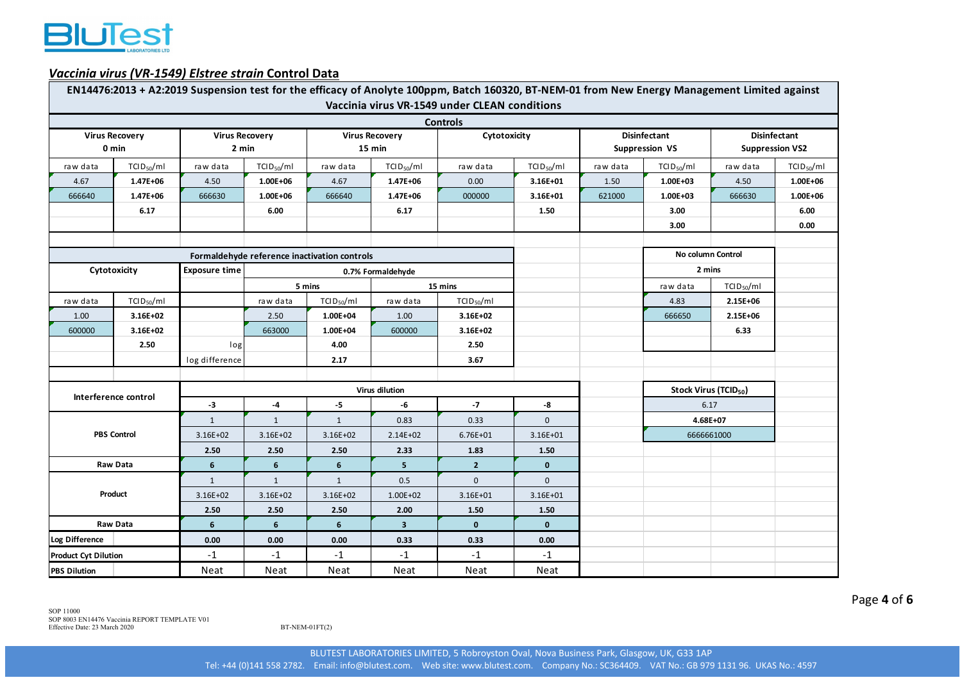

## *Vaccinia virus (VR‐1549) Elstree strain* **Control Data**

|                                |                        |                          |                                |                                              |                                           | EN14476:2013 + A2:2019 Suspension test for the efficacy of Anolyte 100ppm, Batch 160320, BT-NEM-01 from New Energy Management Limited against<br>Vaccinia virus VR-1549 under CLEAN conditions |                        |          |                                              |                |                                               |  |
|--------------------------------|------------------------|--------------------------|--------------------------------|----------------------------------------------|-------------------------------------------|------------------------------------------------------------------------------------------------------------------------------------------------------------------------------------------------|------------------------|----------|----------------------------------------------|----------------|-----------------------------------------------|--|
|                                |                        |                          |                                |                                              |                                           | <b>Controls</b>                                                                                                                                                                                |                        |          |                                              |                |                                               |  |
| <b>Virus Recovery</b><br>0 min |                        |                          | <b>Virus Recovery</b><br>2 min |                                              | <b>Virus Recovery</b><br>$15 \text{ min}$ |                                                                                                                                                                                                | Cytotoxicity           |          | <b>Disinfectant</b><br><b>Suppression VS</b> |                | <b>Disinfectant</b><br><b>Suppression VS2</b> |  |
| raw data                       | TCID <sub>50</sub> /ml | raw data                 | TCID <sub>50</sub> /ml         | raw data                                     | TCID <sub>50</sub> /ml                    | raw data                                                                                                                                                                                       | TCID <sub>50</sub> /ml | raw data | TCID <sub>50</sub> /ml                       | raw data       | TCID <sub>50</sub> /ml                        |  |
| 4.67                           | $1.47E + 06$           | 4.50                     | 1.00E+06                       | 4.67                                         | 1.47E+06                                  | 0.00                                                                                                                                                                                           | 3.16E+01               | 1.50     | $1.00E + 03$                                 | 4.50           | 1.00E+06                                      |  |
| 666640                         | 1.47E+06               | 666630                   | 1.00E+06                       | 666640                                       | 1.47E+06                                  | 000000                                                                                                                                                                                         | 3.16E+01               | 621000   | $1.00E + 03$                                 | 666630         | 1.00E+06                                      |  |
|                                | 6.17                   |                          | 6.00                           |                                              | 6.17                                      |                                                                                                                                                                                                | 1.50                   |          | 3.00                                         |                | 6.00                                          |  |
|                                |                        |                          |                                |                                              |                                           |                                                                                                                                                                                                |                        |          | 3.00                                         |                | 0.00                                          |  |
|                                |                        |                          |                                |                                              |                                           |                                                                                                                                                                                                |                        |          |                                              |                |                                               |  |
|                                |                        |                          |                                | Formaldehyde reference inactivation controls |                                           |                                                                                                                                                                                                |                        |          | No column Control                            |                |                                               |  |
|                                | Cytotoxicity           | <b>Exposure time</b>     | 0.7% Formaldehyde              |                                              |                                           |                                                                                                                                                                                                |                        |          |                                              | 2 mins         |                                               |  |
|                                |                        |                          |                                | 5 mins                                       |                                           | 15 mins                                                                                                                                                                                        |                        |          | raw data                                     | $TCID_{50}/ml$ |                                               |  |
| raw data                       | TCID <sub>50</sub> /ml |                          | raw data                       | TCID <sub>50</sub> /ml                       | raw data                                  | TCID <sub>50</sub> /ml                                                                                                                                                                         |                        |          | 4.83                                         | 2.15E+06       |                                               |  |
| 1.00                           | 3.16E+02               |                          | 2.50                           | 1.00E+04                                     | 1.00                                      | 3.16E+02                                                                                                                                                                                       |                        |          | 666650                                       | 2.15E+06       |                                               |  |
| 600000                         | 3.16E+02               |                          | 663000                         | 1.00E+04                                     | 600000                                    | 3.16E+02                                                                                                                                                                                       |                        |          |                                              | 6.33           |                                               |  |
|                                | 2.50                   | log                      |                                | 4.00                                         |                                           | 2.50                                                                                                                                                                                           |                        |          |                                              |                |                                               |  |
|                                |                        | log difference           |                                | 2.17                                         |                                           | 3.67                                                                                                                                                                                           |                        |          |                                              |                |                                               |  |
|                                |                        |                          |                                |                                              |                                           |                                                                                                                                                                                                |                        |          |                                              |                |                                               |  |
|                                | Interference control   |                          | Virus dilution                 |                                              |                                           |                                                                                                                                                                                                |                        |          | Stock Virus (TCID <sub>50</sub> )            |                |                                               |  |
|                                |                        | -3                       | $-4$                           | $-5$                                         | $-6$                                      | $-7$                                                                                                                                                                                           | $-8$                   |          | 6.17                                         |                |                                               |  |
|                                |                        |                          | $\overline{1}$<br>$\mathbf{1}$ |                                              | $\mathbf{1}$                              | $\mathbf{0}$<br>0.83<br>0.33                                                                                                                                                                   |                        | 4.68E+07 |                                              |                |                                               |  |
| <b>PBS Control</b>             |                        | $3.16E + 02$<br>3.16E+02 |                                | 3.16E+02<br>2.14E+02                         |                                           | 3.16E+01<br>6.76E+01                                                                                                                                                                           |                        |          | 6666661000                                   |                |                                               |  |
|                                |                        | 2.50                     | 2.50                           | 2.50                                         | 2.33                                      | 1.83                                                                                                                                                                                           | 1.50                   |          |                                              |                |                                               |  |
|                                | <b>Raw Data</b>        | $6\phantom{1}$           | 6                              | $6\phantom{1}$                               | 5                                         | $\overline{2}$                                                                                                                                                                                 | $\mathbf{0}$           |          |                                              |                |                                               |  |
| Product                        |                        | $\mathbf{1}$             | $\mathbf{1}$                   | $\mathbf{1}$                                 | 0.5                                       | $\mathbf 0$                                                                                                                                                                                    | $\mathbf{0}$           |          |                                              |                |                                               |  |
|                                |                        | 3.16E+02                 | $3.16E + 02$                   | 3.16E+02                                     | 1.00E+02                                  | 3.16E+01                                                                                                                                                                                       | 3.16E+01               |          |                                              |                |                                               |  |
|                                |                        | 2.50                     | 2.50                           | 2.50                                         | 2.00                                      | 1.50                                                                                                                                                                                           | 1.50                   |          |                                              |                |                                               |  |
|                                | Raw Data               | $6\phantom{1}$           | $6\phantom{1}$                 | $6\phantom{1}$                               | 3 <sup>1</sup>                            | $\bf{0}$                                                                                                                                                                                       | $\mathbf{0}$           |          |                                              |                |                                               |  |
| Log Difference                 |                        | 0.00                     | 0.00                           | 0.00                                         | 0.33                                      | 0.33                                                                                                                                                                                           | 0.00                   |          |                                              |                |                                               |  |
| <b>Product Cyt Dilution</b>    |                        | $-1$                     | $-1$                           | $-1$                                         | $-1$                                      | $-1$                                                                                                                                                                                           | $-1$                   |          |                                              |                |                                               |  |
| <b>PBS Dilution</b>            |                        | Neat                     | Neat                           | Neat                                         | <b>Neat</b>                               | Neat                                                                                                                                                                                           | <b>Neat</b>            |          |                                              |                |                                               |  |

BT-NEM-01FT(2)

Page **4** of **6**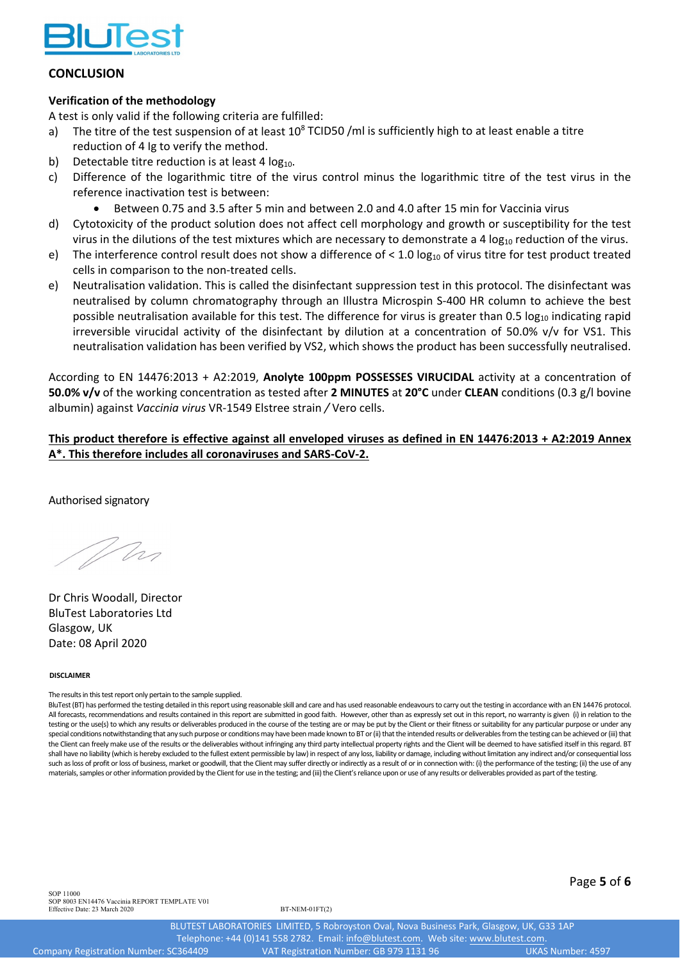

## **CONCLUSION**

## **Verification of the methodology**

A test is only valid if the following criteria are fulfilled:

- a) The titre of the test suspension of at least  $10^8$  TCID50 /ml is sufficiently high to at least enable a titre reduction of 4 Ig to verify the method.
- b) Detectable titre reduction is at least 4  $log_{10}$ .
- c) Difference of the logarithmic titre of the virus control minus the logarithmic titre of the test virus in the reference inactivation test is between:
	- Between 0.75 and 3.5 after 5 min and between 2.0 and 4.0 after 15 min for Vaccinia virus
- d) Cytotoxicity of the product solution does not affect cell morphology and growth or susceptibility for the test virus in the dilutions of the test mixtures which are necessary to demonstrate a 4  $log<sub>10</sub>$  reduction of the virus.
- e) The interference control result does not show a difference of  $< 1.0 \log_{10}$  of virus titre for test product treated cells in comparison to the non-treated cells.
- e) Neutralisation validation. This is called the disinfectant suppression test in this protocol. The disinfectant was neutralised by column chromatography through an Illustra Microspin S‐400 HR column to achieve the best possible neutralisation available for this test. The difference for virus is greater than 0.5 log<sub>10</sub> indicating rapid irreversible virucidal activity of the disinfectant by dilution at a concentration of 50.0% v/v for VS1. This neutralisation validation has been verified by VS2, which shows the product has been successfully neutralised.

According to EN 14476:2013 + A2:2019, **Anolyte 100ppm POSSESSES VIRUCIDAL** activity at a concentration of **50.0% v/v** of the working concentration as tested after **2 MINUTES** at **20°C** under **CLEAN** conditions (0.3 g/l bovine albumin) against *Vaccinia virus* VR‐1549 Elstree strain */* Vero cells.

This product therefore is effective against all enveloped viruses as defined in EN 14476:2013 + A2:2019 Annex **A\*. This therefore includes all coronaviruses and SARS‐CoV‐2.**

Authorised signatory

Why

Dr Chris Woodall, Director BluTest Laboratories Ltd Glasgow, UK Date: 08 April 2020

#### **DISCLAIMER**

The results in this test report only pertain to the sample supplied.

BluTest (BT) has performed the testing detailed in this report using reasonable skill and care and has used reasonable endeavours to carry out the testing in accordance with an EN 14476 protocol. All forecasts, recommendations and results contained in this report are submitted in good faith. However, other than as expressly set out in this report, no warranty is given (i) in relation to the testing or the use(s) to which any results or deliverables produced in the course of the testing are or may be put by the Client or their fitness or suitability for any particular purpose or under any special conditions notwithstanding that any such purpose or conditions may have been made known to BT or (ii) that the intended results or deliverables from the testing can be achieved or (iii) that the Client can freely make use of the results or the deliverables without infringing any third party intellectual property rights and the Client will be deemed to have satisfied itself in thisregard. BT shall have no liability (which is hereby excluded to the fullest extent permissible by law) in respect of any loss, liability or damage, including without limitation any indirect and/or consequential loss such as loss of profit or loss of business, market or goodwill, that the Client may suffer directly or indirectly as a result of or in connection with: (i) the performance of the testing; (ii) the use of any materials, samples or other information provided by the Client for use in the testing; and (iii) the Client's reliance upon or use of any results or deliverables provided as part of the testing.

SOP 11000 SOP 8003 EN14476 Vaccinia REPORT TEMPLATE V01 Effective Date: 23 March 2020 BT-NEM-01FT(2)

Page **5** of **6**